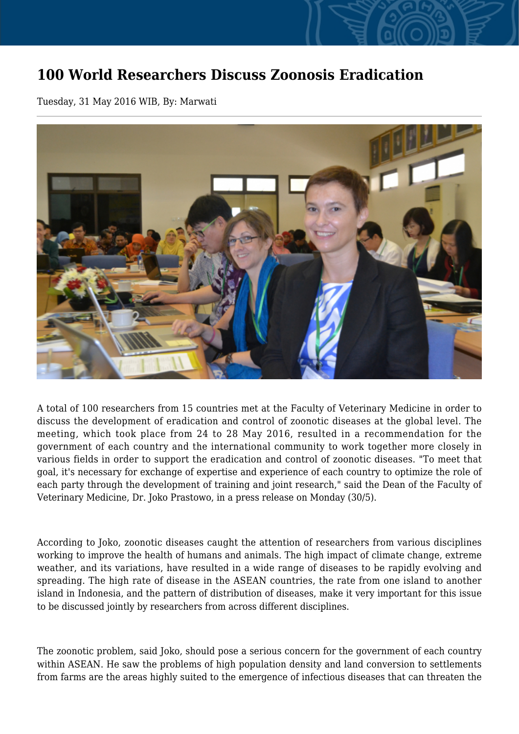## **100 World Researchers Discuss Zoonosis Eradication**

Tuesday, 31 May 2016 WIB, By: Marwati



A total of 100 researchers from 15 countries met at the Faculty of Veterinary Medicine in order to discuss the development of eradication and control of zoonotic diseases at the global level. The meeting, which took place from 24 to 28 May 2016, resulted in a recommendation for the government of each country and the international community to work together more closely in various fields in order to support the eradication and control of zoonotic diseases. "To meet that goal, it's necessary for exchange of expertise and experience of each country to optimize the role of each party through the development of training and joint research," said the Dean of the Faculty of Veterinary Medicine, Dr. Joko Prastowo, in a press release on Monday (30/5).

According to Joko, zoonotic diseases caught the attention of researchers from various disciplines working to improve the health of humans and animals. The high impact of climate change, extreme weather, and its variations, have resulted in a wide range of diseases to be rapidly evolving and spreading. The high rate of disease in the ASEAN countries, the rate from one island to another island in Indonesia, and the pattern of distribution of diseases, make it very important for this issue to be discussed jointly by researchers from across different disciplines.

The zoonotic problem, said Joko, should pose a serious concern for the government of each country within ASEAN. He saw the problems of high population density and land conversion to settlements from farms are the areas highly suited to the emergence of infectious diseases that can threaten the